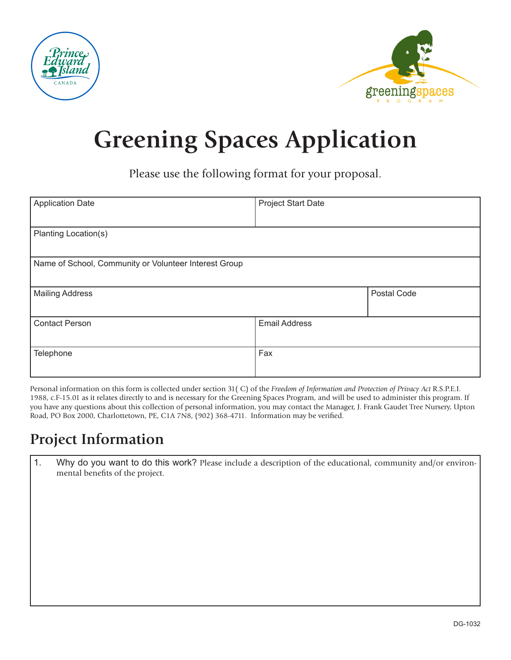



## **Greening Spaces Application**

Please use the following format for your proposal.

| <b>Application Date</b>                               | <b>Project Start Date</b> |             |
|-------------------------------------------------------|---------------------------|-------------|
|                                                       |                           |             |
| Planting Location(s)                                  |                           |             |
|                                                       |                           |             |
| Name of School, Community or Volunteer Interest Group |                           |             |
|                                                       |                           |             |
| <b>Mailing Address</b>                                |                           | Postal Code |
|                                                       |                           |             |
| <b>Contact Person</b>                                 | <b>Email Address</b>      |             |
|                                                       |                           |             |
| Telephone                                             | Fax                       |             |
|                                                       |                           |             |

Personal information on this form is collected under section 31( C) of the *Freedom of Information and Protection of Privacy Act* R.S.P.E.I. 1988, c.F-15.01 as it relates directly to and is necessary for the Greening Spaces Program, and will be used to administer this program. If you have any questions about this collection of personal information, you may contact the Manager, J. Frank Gaudet Tree Nursery, Upton Road, PO Box 2000, Charlottetown, PE, C1A 7N8, (902) 368-4711. Information may be verified.

## **Project Information**

1. Why do you want to do this work? Please include a description of the educational, community and/or environmental benefits of the project.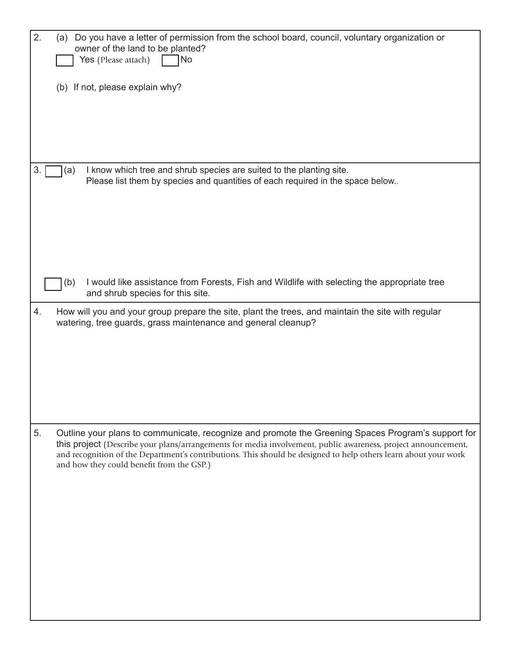| 2. | (a) Do you have a letter of permission from the school board, council, voluntary organization or<br>owner of the land to be planted?<br>Yes (Please attach)<br><b>No</b>                                                                                                                                                                                                            |
|----|-------------------------------------------------------------------------------------------------------------------------------------------------------------------------------------------------------------------------------------------------------------------------------------------------------------------------------------------------------------------------------------|
|    | (b) If not, please explain why?                                                                                                                                                                                                                                                                                                                                                     |
| 3. | I know which tree and shrub species are suited to the planting site.<br>(a)<br>Please list them by species and quantities of each required in the space below                                                                                                                                                                                                                       |
|    | I would like assistance from Forests, Fish and Wildlife with selecting the appropriate tree<br>(b)<br>and shrub species for this site.                                                                                                                                                                                                                                              |
| 4. | How will you and your group prepare the site, plant the trees, and maintain the site with regular<br>watering, tree guards, grass maintenance and general cleanup?                                                                                                                                                                                                                  |
| 5. | Outline your plans to communicate, recognize and promote the Greening Spaces Program's support for<br>this project (Describe your plans/arrangements for media involvement, public awareness, project announcement,<br>and recognition of the Department's contributions. This should be designed to help others learn about your work<br>and how they could benefit from the GSP.) |